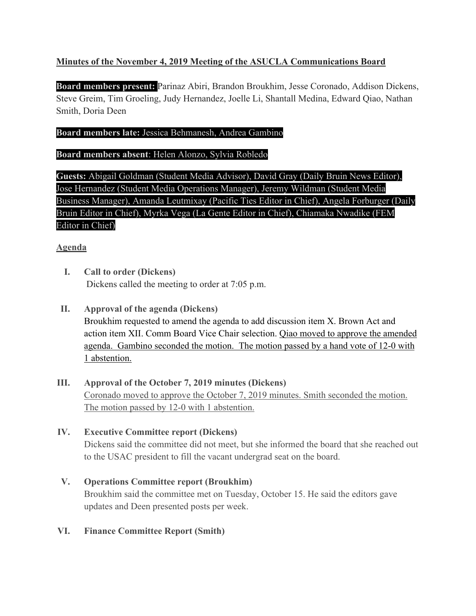## **Minutes of the November 4, 2019 Meeting of the ASUCLA Communications Board**

**Board members present:** Parinaz Abiri, Brandon Broukhim, Jesse Coronado, Addison Dickens, Steve Greim, Tim Groeling, Judy Hernandez, Joelle Li, Shantall Medina, Edward Qiao, Nathan Smith, Doria Deen

#### **Board members late:** Jessica Behmanesh, Andrea Gambino

#### **Board members absent**: Helen Alonzo, Sylvia Robledo

**Guests:** Abigail Goldman (Student Media Advisor), David Gray (Daily Bruin News Editor), Jose Hernandez (Student Media Operations Manager), Jeremy Wildman (Student Media Business Manager), Amanda Leutmixay (Pacific Ties Editor in Chief), Angela Forburger (Daily Bruin Editor in Chief), Myrka Vega (La Gente Editor in Chief), Chiamaka Nwadike (FEM Editor in Chief)

### **Agenda**

- **I. Call to order (Dickens)** Dickens called the meeting to order at 7:05 p.m.
- **II. Approval of the agenda (Dickens)** Broukhim requested to amend the agenda to add discussion item X. Brown Act and action item XII. Comm Board Vice Chair selection. Qiao moved to approve the amended agenda. Gambino seconded the motion. The motion passed by a hand vote of 12-0 with 1 abstention.
- **III. Approval of the October 7, 2019 minutes (Dickens)** Coronado moved to approve the October 7, 2019 minutes. Smith seconded the motion. The motion passed by 12-0 with 1 abstention.

### **IV. Executive Committee report (Dickens)**

Dickens said the committee did not meet, but she informed the board that she reached out to the USAC president to fill the vacant undergrad seat on the board.

**V. Operations Committee report (Broukhim)** Broukhim said the committee met on Tuesday, October 15. He said the editors gave updates and Deen presented posts per week.

### **VI. Finance Committee Report (Smith)**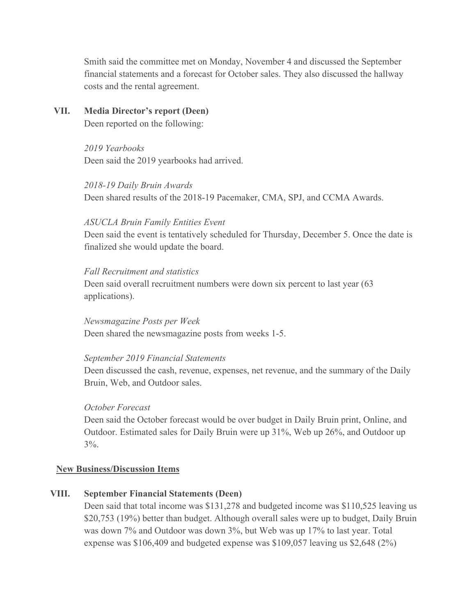Smith said the committee met on Monday, November 4 and discussed the September financial statements and a forecast for October sales. They also discussed the hallway costs and the rental agreement.

**VII. Media Director's report (Deen)** Deen reported on the following:

> *2019 Yearbooks* Deen said the 2019 yearbooks had arrived.

*2018-19 Daily Bruin Awards* Deen shared results of the 2018-19 Pacemaker, CMA, SPJ, and CCMA Awards.

#### *ASUCLA Bruin Family Entities Event*

Deen said the event is tentatively scheduled for Thursday, December 5. Once the date is finalized she would update the board.

#### *Fall Recruitment and statistics*

Deen said overall recruitment numbers were down six percent to last year (63 applications).

*Newsmagazine Posts per Week* Deen shared the newsmagazine posts from weeks 1-5.

### *September 2019 Financial Statements*

Deen discussed the cash, revenue, expenses, net revenue, and the summary of the Daily Bruin, Web, and Outdoor sales.

### *October Forecast*

Deen said the October forecast would be over budget in Daily Bruin print, Online, and Outdoor. Estimated sales for Daily Bruin were up 31%, Web up 26%, and Outdoor up  $3\%$ .

### **New Business/Discussion Items**

# **VIII. September Financial Statements (Deen)**

Deen said that total income was \$131,278 and budgeted income was \$110,525 leaving us \$20,753 (19%) better than budget. Although overall sales were up to budget, Daily Bruin was down 7% and Outdoor was down 3%, but Web was up 17% to last year. Total expense was \$106,409 and budgeted expense was \$109,057 leaving us \$2,648 (2%)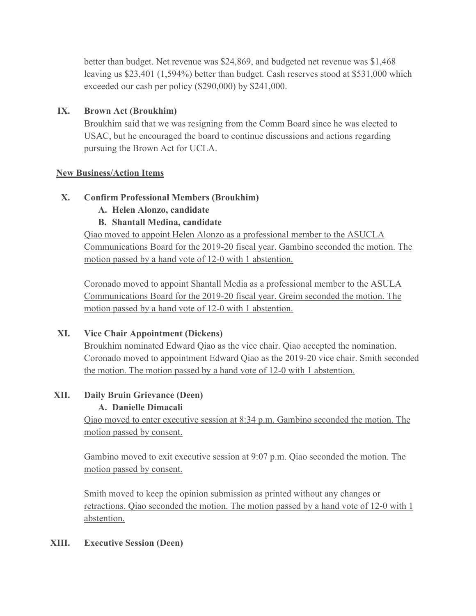better than budget. Net revenue was \$24,869, and budgeted net revenue was \$1,468 leaving us \$23,401 (1,594%) better than budget. Cash reserves stood at \$531,000 which exceeded our cash per policy (\$290,000) by \$241,000.

## **IX. Brown Act (Broukhim)**

Broukhim said that we was resigning from the Comm Board since he was elected to USAC, but he encouraged the board to continue discussions and actions regarding pursuing the Brown Act for UCLA.

### **New Business/Action Items**

## **X. Confirm Professional Members (Broukhim)**

## **A. Helen Alonzo, candidate**

# **B. Shantall Medina, candidate**

Qiao moved to appoint Helen Alonzo as a professional member to the ASUCLA Communications Board for the 2019-20 fiscal year. Gambino seconded the motion. The motion passed by a hand vote of 12-0 with 1 abstention.

Coronado moved to appoint Shantall Media as a professional member to the ASULA Communications Board for the 2019-20 fiscal year. Greim seconded the motion. The motion passed by a hand vote of 12-0 with 1 abstention.

# **XI. Vice Chair Appointment (Dickens)**

Broukhim nominated Edward Qiao as the vice chair. Qiao accepted the nomination. Coronado moved to appointment Edward Qiao as the 2019-20 vice chair. Smith seconded the motion. The motion passed by a hand vote of 12-0 with 1 abstention.

# **XII. Daily Bruin Grievance (Deen)**

# **A. Danielle Dimacali**

Qiao moved to enter executive session at 8:34 p.m. Gambino seconded the motion. The motion passed by consent.

Gambino moved to exit executive session at 9:07 p.m. Qiao seconded the motion. The motion passed by consent.

Smith moved to keep the opinion submission as printed without any changes or retractions. Qiao seconded the motion. The motion passed by a hand vote of 12-0 with 1 abstention.

# **XIII. Executive Session (Deen)**